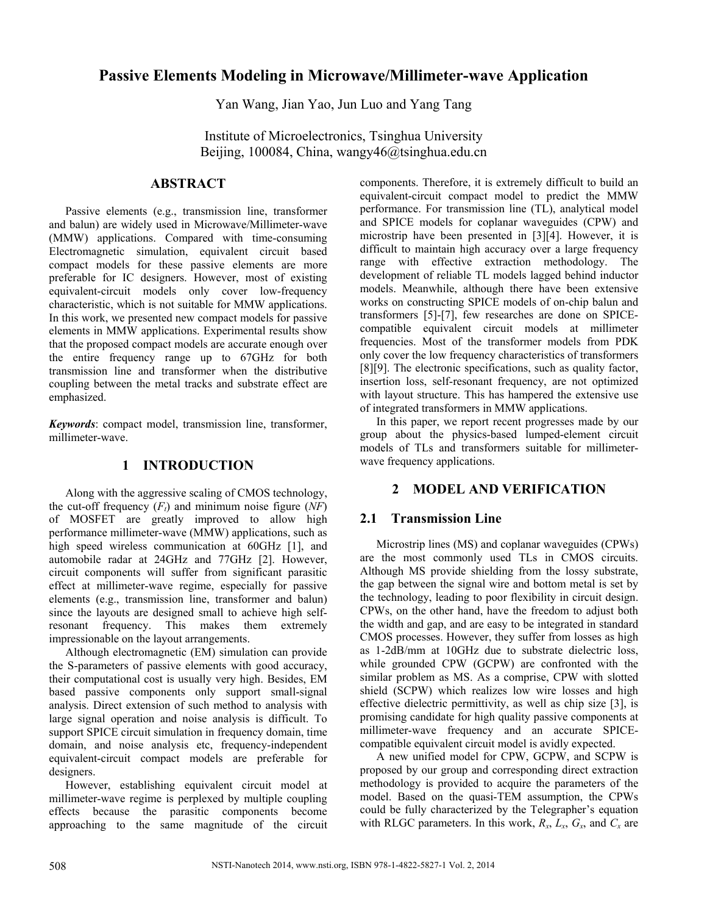# **Passive Elements Modeling in Microwave/Millimeter-wave Application**

Yan Wang, Jian Yao, Jun Luo and Yang Tang

Institute of Microelectronics, Tsinghua University Beijing, 100084, China, wangy46@tsinghua.edu.cn

### **ABSTRACT**

Passive elements (e.g., transmission line, transformer and balun) are widely used in Microwave/Millimeter-wave (MMW) applications. Compared with time-consuming Electromagnetic simulation, equivalent circuit based compact models for these passive elements are more preferable for IC designers. However, most of existing equivalent-circuit models only cover low-frequency characteristic, which is not suitable for MMW applications. In this work, we presented new compact models for passive elements in MMW applications. Experimental results show that the proposed compact models are accurate enough over the entire frequency range up to 67GHz for both transmission line and transformer when the distributive coupling between the metal tracks and substrate effect are emphasized.

*Keywords*: compact model, transmission line, transformer, millimeter-wave.

### **1 INTRODUCTION**

Along with the aggressive scaling of CMOS technology, the cut-off frequency  $(F_t)$  and minimum noise figure  $(NF)$ of MOSFET are greatly improved to allow high performance millimeter-wave (MMW) applications, such as high speed wireless communication at 60GHz [1], and automobile radar at 24GHz and 77GHz [2]. However, circuit components will suffer from significant parasitic effect at millimeter-wave regime, especially for passive elements (e.g., transmission line, transformer and balun) since the layouts are designed small to achieve high selfresonant frequency. This makes them extremely impressionable on the layout arrangements.

Although electromagnetic (EM) simulation can provide the S-parameters of passive elements with good accuracy, their computational cost is usually very high. Besides, EM based passive components only support small-signal analysis. Direct extension of such method to analysis with large signal operation and noise analysis is difficult. To support SPICE circuit simulation in frequency domain, time domain, and noise analysis etc, frequency-independent equivalent-circuit compact models are preferable for designers.

However, establishing equivalent circuit model at millimeter-wave regime is perplexed by multiple coupling effects because the parasitic components become approaching to the same magnitude of the circuit components. Therefore, it is extremely difficult to build an equivalent-circuit compact model to predict the MMW performance. For transmission line (TL), analytical model and SPICE models for coplanar waveguides (CPW) and microstrip have been presented in [3][4]. However, it is difficult to maintain high accuracy over a large frequency range with effective extraction methodology. The development of reliable TL models lagged behind inductor models. Meanwhile, although there have been extensive works on constructing SPICE models of on-chip balun and transformers [5]-[7], few researches are done on SPICEcompatible equivalent circuit models at millimeter frequencies. Most of the transformer models from PDK only cover the low frequency characteristics of transformers [8][9]. The electronic specifications, such as quality factor, insertion loss, self-resonant frequency, are not optimized with layout structure. This has hampered the extensive use of integrated transformers in MMW applications.

In this paper, we report recent progresses made by our group about the physics-based lumped-element circuit models of TLs and transformers suitable for millimeterwave frequency applications.

# **2 MODEL AND VERIFICATION**

# **2.1 Transmission Line**

Microstrip lines (MS) and coplanar waveguides (CPWs) are the most commonly used TLs in CMOS circuits. Although MS provide shielding from the lossy substrate, the gap between the signal wire and bottom metal is set by the technology, leading to poor flexibility in circuit design. CPWs, on the other hand, have the freedom to adjust both the width and gap, and are easy to be integrated in standard CMOS processes. However, they suffer from losses as high as 1-2dB/mm at 10GHz due to substrate dielectric loss, while grounded CPW (GCPW) are confronted with the similar problem as MS. As a comprise, CPW with slotted shield (SCPW) which realizes low wire losses and high effective dielectric permittivity, as well as chip size [3], is promising candidate for high quality passive components at millimeter-wave frequency and an accurate SPICEcompatible equivalent circuit model is avidly expected.

A new unified model for CPW, GCPW, and SCPW is proposed by our group and corresponding direct extraction methodology is provided to acquire the parameters of the model. Based on the quasi-TEM assumption, the CPWs could be fully characterized by the Telegrapher's equation with RLGC parameters. In this work,  $R_x$ ,  $L_x$ ,  $G_x$ , and  $C_x$  are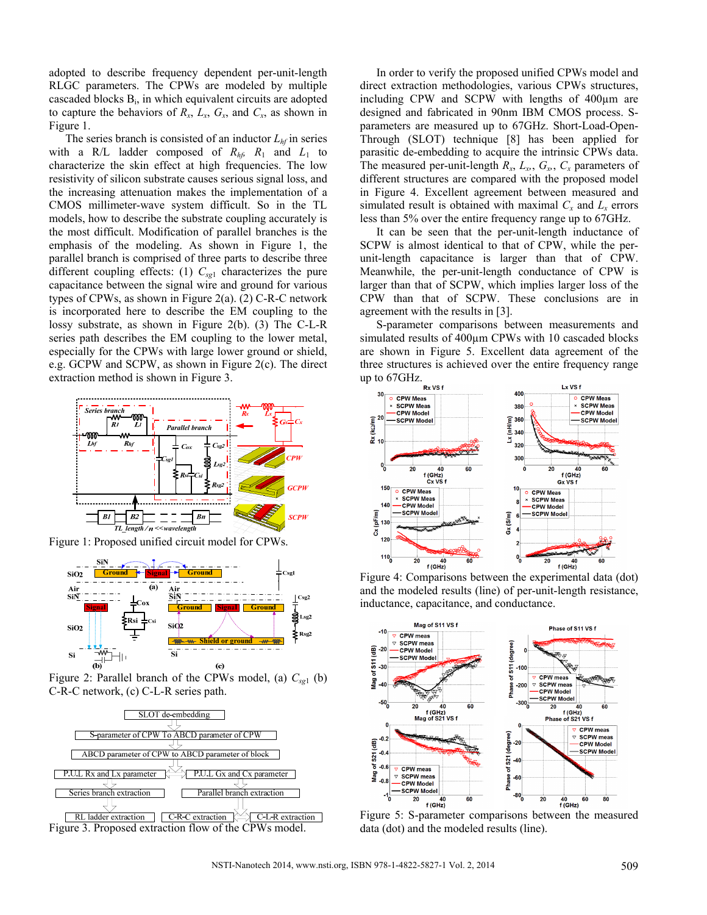adopted to describe frequency dependent per-unit-length RLGC parameters. The CPWs are modeled by multiple cascaded blocks Bi, in which equivalent circuits are adopted to capture the behaviors of  $R_x$ ,  $L_x$ ,  $G_x$ , and  $C_x$ , as shown in Figure 1.

The series branch is consisted of an inductor  $L<sub>hf</sub>$  in series with a R/L ladder composed of  $R_{hf}$ ,  $R_1$  and  $L_1$  to characterize the skin effect at high frequencies. The low resistivity of silicon substrate causes serious signal loss, and the increasing attenuation makes the implementation of a CMOS millimeter-wave system difficult. So in the TL models, how to describe the substrate coupling accurately is the most difficult. Modification of parallel branches is the emphasis of the modeling. As shown in Figure 1, the parallel branch is comprised of three parts to describe three different coupling effects: (1)  $C_{sg1}$  characterizes the pure capacitance between the signal wire and ground for various types of CPWs, as shown in Figure 2(a). (2) C-R-C network is incorporated here to describe the EM coupling to the lossy substrate, as shown in Figure 2(b). (3) The C-L-R series path describes the EM coupling to the lower metal, especially for the CPWs with large lower ground or shield, e.g. GCPW and SCPW, as shown in Figure 2(c). The direct extraction method is shown in Figure 3.



Figure 1: Proposed unified circuit model for CPWs.



Figure 2: Parallel branch of the CPWs model, (a)  $C_{sg1}$  (b) C-R-C network, (c) C-L-R series path.



In order to verify the proposed unified CPWs model and direct extraction methodologies, various CPWs structures, including CPW and SCPW with lengths of 400µm are designed and fabricated in 90nm IBM CMOS process. Sparameters are measured up to 67GHz. Short-Load-Open-Through (SLOT) technique [8] has been applied for parasitic de-embedding to acquire the intrinsic CPWs data. The measured per-unit-length  $R_x$ ,  $L_x$ ,  $G_x$ ,  $C_x$  parameters of different structures are compared with the proposed model in Figure 4. Excellent agreement between measured and simulated result is obtained with maximal  $C_x$  and  $L_x$  errors less than 5% over the entire frequency range up to 67GHz.

It can be seen that the per-unit-length inductance of SCPW is almost identical to that of CPW, while the perunit-length capacitance is larger than that of CPW. Meanwhile, the per-unit-length conductance of CPW is larger than that of SCPW, which implies larger loss of the CPW than that of SCPW. These conclusions are in agreement with the results in [3].

S-parameter comparisons between measurements and simulated results of 400 $\mu$ m CPWs with 10 cascaded blocks are shown in Figure 5. Excellent data agreement of the three structures is achieved over the entire frequency range up to  $67$ GHz.



Figure 4: Comparisons between the experimental data (dot) and the modeled results (line) of per-unit-length resistance, inductance, capacitance, and conductance.



Figure 5: S-parameter comparisons between the measured data (dot) and the modeled results (line).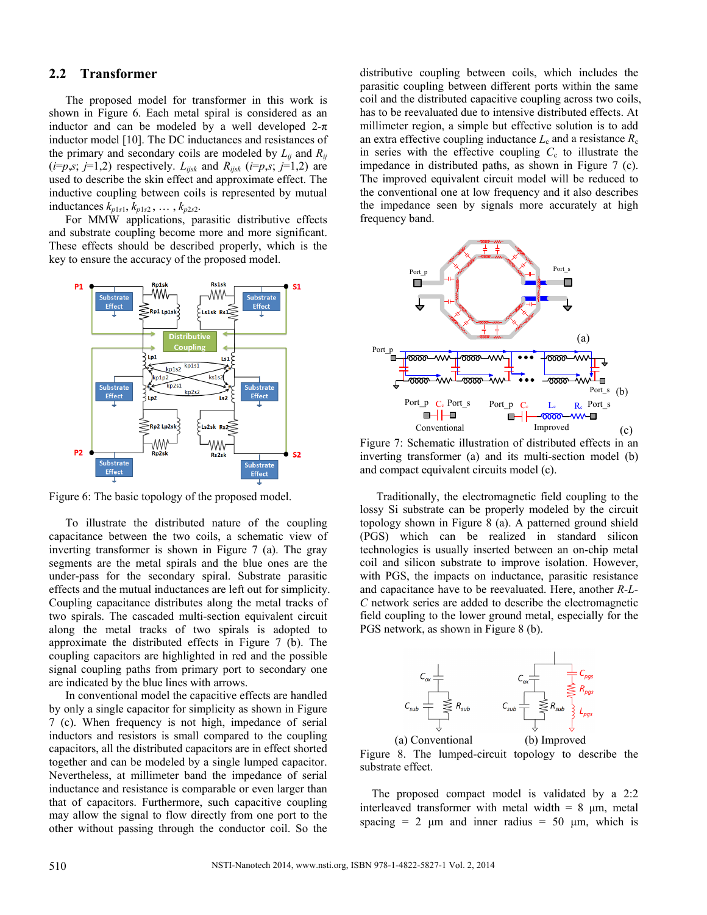#### **2.2 Transformer**

The proposed model for transformer in this work is shown in Figure 6. Each metal spiral is considered as an inductor and can be modeled by a well developed  $2-\pi$ inductor model [10]. The DC inductances and resistances of the primary and secondary coils are modeled by  $L_{ii}$  and  $R_{ii}$  $(i=p,s; j=1,2)$  respectively.  $L_{ijsk}$  and  $R_{ijsk}$   $(i=p,s; j=1,2)$  are used to describe the skin effect and approximate effect. The inductive coupling between coils is represented by mutual inductances  $k_{p1s1}, k_{p1s2}, \ldots, k_{p2s2}$ .

For MMW applications, parasitic distributive effects and substrate coupling become more and more significant. These effects should be described properly, which is the key to ensure the accuracy of the proposed model.



Figure 6: The basic topology of the proposed model.

To illustrate the distributed nature of the coupling capacitance between the two coils, a schematic view of inverting transformer is shown in Figure 7 (a). The gray segments are the metal spirals and the blue ones are the under-pass for the secondary spiral. Substrate parasitic effects and the mutual inductances are left out for simplicity. Coupling capacitance distributes along the metal tracks of two spirals. The cascaded multi-section equivalent circuit along the metal tracks of two spirals is adopted to approximate the distributed effects in Figure 7 (b). The coupling capacitors are highlighted in red and the possible signal coupling paths from primary port to secondary one are indicated by the blue lines with arrows.

In conventional model the capacitive effects are handled by only a single capacitor for simplicity as shown in Figure 7 (c). When frequency is not high, impedance of serial inductors and resistors is small compared to the coupling capacitors, all the distributed capacitors are in effect shorted together and can be modeled by a single lumped capacitor. Nevertheless, at millimeter band the impedance of serial inductance and resistance is comparable or even larger than that of capacitors. Furthermore, such capacitive coupling may allow the signal to flow directly from one port to the other without passing through the conductor coil. So the

distributive coupling between coils, which includes the parasitic coupling between different ports within the same coil and the distributed capacitive coupling across two coils, has to be reevaluated due to intensive distributed effects. At millimeter region, a simple but effective solution is to add an extra effective coupling inductance  $L_c$  and a resistance  $R_c$ in series with the effective coupling  $C_c$  to illustrate the impedance in distributed paths, as shown in Figure 7 (c). The improved equivalent circuit model will be reduced to the conventional one at low frequency and it also describes the impedance seen by signals more accurately at high frequency band.



Figure 7: Schematic illustration of distributed effects in an inverting transformer (a) and its multi-section model (b) and compact equivalent circuits model (c).

Traditionally, the electromagnetic field coupling to the lossy Si substrate can be properly modeled by the circuit topology shown in Figure 8 (a). A patterned ground shield (PGS) which can be realized in standard silicon technologies is usually inserted between an on-chip metal coil and silicon substrate to improve isolation. However, with PGS, the impacts on inductance, parasitic resistance and capacitance have to be reevaluated. Here, another *R-L-C* network series are added to describe the electromagnetic field coupling to the lower ground metal, especially for the PGS network, as shown in Figure 8 (b).



Figure 8. The lumped-circuit topology to describe the substrate effect.

The proposed compact model is validated by a 2:2 interleaved transformer with metal width =  $8 \mu m$ , metal spacing = 2  $\mu$ m and inner radius = 50  $\mu$ m, which is